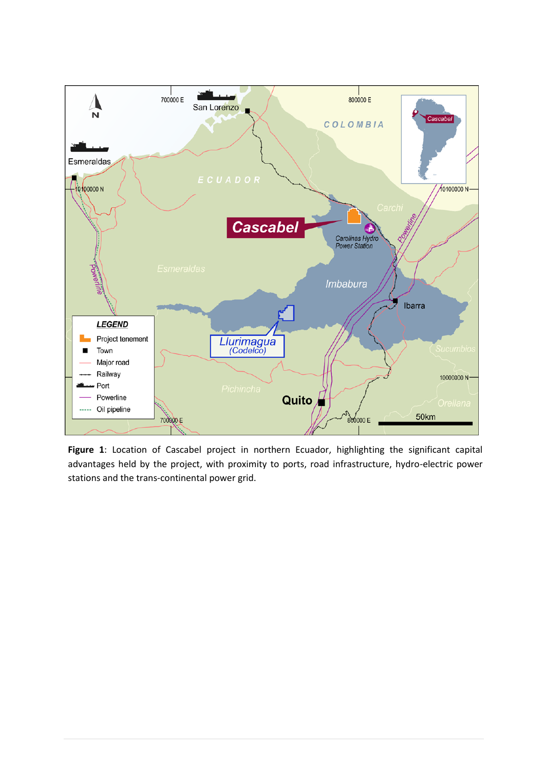

**Figure 1**: Location of Cascabel project in northern Ecuador, highlighting the significant capital advantages held by the project, with proximity to ports, road infrastructure, hydro-electric power stations and the trans-continental power grid.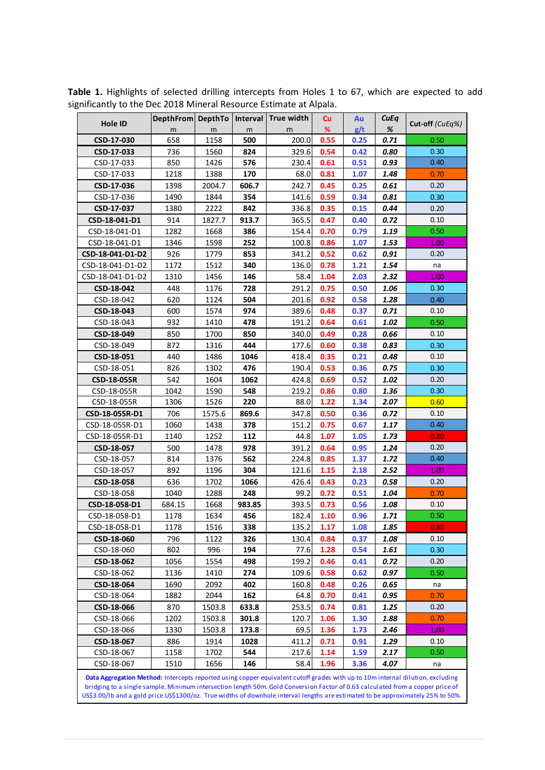| Hole ID          | DepthFrom DepthTo |        | Interval | True width | <b>Cu</b> | Au   | <b>CuEq</b> | Cut-off (CuEq%) |
|------------------|-------------------|--------|----------|------------|-----------|------|-------------|-----------------|
|                  | m                 | m      | m        | m          | %         | g/t  | $\%$        |                 |
| CSD-17-030       | 658               | 1158   | 500      | 200.0      | 0.55      | 0.25 | 0.71        | 0.50            |
| CSD-17-033       | 736               | 1560   | 824      | 329.6      | 0.54      | 0.42 | 0.80        | 0.30            |
| CSD-17-033       | 850               | 1426   | 576      | 230.4      | 0.61      | 0.51 | 0.93        | 0.40            |
| CSD-17-033       | 1218              | 1388   | 170      | 68.0       | 0.81      | 1.07 | 1.48        | 0.70            |
| CSD-17-036       | 1398              | 2004.7 | 606.7    | 242.7      | 0.45      | 0.25 | 0.61        | 0.20            |
| CSD-17-036       | 1490              | 1844   | 354      | 141.6      | 0.59      | 0.34 | 0.81        | 0.30            |
| CSD-17-037       | 1380              | 2222   | 842      | 336.8      | 0.35      | 0.15 | 0.44        | 0.20            |
| CSD-18-041-D1    | 914               | 1827.7 | 913.7    | 365.5      | 0.47      | 0.40 | 0.72        | 0.10            |
| CSD-18-041-D1    | 1282              | 1668   | 386      | 154.4      | 0.70      | 0.79 | 1.19        | 0.50            |
| CSD-18-041-D1    | 1346              | 1598   | 252      | 100.8      | 0.86      | 1.07 | 1.53        | 1.00            |
| CSD-18-041-D1-D2 | 926               | 1779   | 853      | 341.2      | 0.52      | 0.62 | 0.91        | 0.20            |
| CSD-18-041-D1-D2 | 1172              | 1512   | 340      | 136.0      | 0.78      | 1.21 | 1.54        | na              |
| CSD-18-041-D1-D2 | 1310              | 1456   | 146      | 58.4       | 1.04      | 2.03 | 2.32        | 1.00            |
| CSD-18-042       | 448               | 1176   | 728      | 291.2      | 0.75      | 0.50 | 1.06        | 0.30            |
| CSD-18-042       | 620               | 1124   | 504      | 201.6      | 0.92      | 0.58 | 1.28        | 0.40            |
| CSD-18-043       | 600               | 1574   | 974      | 389.6      | 0.48      | 0.37 | 0.71        | 0.10            |
| CSD-18-043       | 932               | 1410   | 478      | 191.2      | 0.64      | 0.61 | 1.02        | 0.50            |
| CSD-18-049       | 850               | 1700   | 850      | 340.0      | 0.49      | 0.28 | 0.66        | 0.10            |
| CSD-18-049       | 872               | 1316   | 444      | 177.6      | 0.60      | 0.38 | 0.83        | 0.30            |
| CSD-18-051       | 440               | 1486   | 1046     | 418.4      | 0.35      | 0.21 | 0.48        | 0.10            |
| CSD-18-051       | 826               | 1302   | 476      | 190.4      | 0.53      | 0.36 | 0.75        | 0.30            |
| CSD-18-055R      | 542               | 1604   | 1062     | 424.8      | 0.69      | 0.52 | 1.02        | 0.20            |
| CSD-18-055R      | 1042              | 1590   | 548      | 219.2      | 0.86      | 0.80 | 1.36        | 0.30            |
| CSD-18-055R      | 1306              | 1526   | 220      | 88.0       | 1.22      | 1.34 | 2.07        | 0.60            |
| CSD-18-055R-D1   | 706               | 1575.6 | 869.6    | 347.8      | 0.50      | 0.36 | 0.72        | 0.10            |
| CSD-18-055R-D1   | 1060              | 1438   | 378      | 151.2      | 0.75      | 0.67 | 1.17        | 0.40            |
| CSD-18-055R-D1   | 1140              | 1252   | 112      | 44.8       | 1.07      | 1.05 | 1.73        | 0.80            |
| CSD-18-057       | 500               | 1478   | 978      | 391.2      | 0.64      | 0.95 | 1.24        | 0.20            |
| CSD-18-057       | 814               | 1376   | 562      | 224.8      | 0.85      | 1.37 | 1.72        | 0.40            |
| CSD-18-057       | 892               | 1196   | 304      | 121.6      | 1.15      | 2.18 | 2.52        | 1.00            |
| CSD-18-058       | 636               | 1702   | 1066     | 426.4      | 0.43      | 0.23 | 0.58        | 0.20            |
| CSD-18-058       | 1040              | 1288   | 248      | 99.2       | 0.72      | 0.51 | 1.04        | 0.70            |
| CSD-18-058-D1    | 684.15            | 1668   | 983.85   | 393.5      | 0.73      | 0.56 | 1.08        | 0.10            |
| CSD-18-058-D1    | 1178              | 1634   | 456      | 182.4      | 1.10      | 0.96 | 1.71        | 0.50            |
| CSD-18-058-D1    | 1178              | 1516   | 338      | 135.2      | 1.17      | 1.08 | 1.85        | 0.80            |
| CSD-18-060       | 796               | 1122   | 326      | 130.4      | 0.84      | 0.37 | 1.08        | 0.10            |
| CSD-18-060       | 802               | 996    | 194      | 77.6       | 1.28      | 0.54 | 1.61        | 0.30            |
| CSD-18-062       | 1056              | 1554   | 498      | 199.2      | 0.46      | 0.41 | 0.72        | 0.20            |
| CSD-18-062       | 1136              | 1410   | 274      | 109.6      | 0.58      | 0.62 | 0.97        | 0.50            |
| CSD-18-064       | 1690              | 2092   | 402      | 160.8      | 0.48      | 0.26 | 0.65        |                 |
|                  |                   |        |          |            |           |      |             | na              |
| CSD-18-064       | 1882              | 2044   | 162      | 64.8       | 0.70      | 0.41 | 0.95        | 0.70            |
| CSD-18-066       | 870               | 1503.8 | 633.8    | 253.5      | 0.74      | 0.81 | 1.25        | 0.20            |
| CSD-18-066       | 1202              | 1503.8 | 301.8    | 120.7      | 1.06      | 1.30 | 1.88        | 0.70            |
| CSD-18-066       | 1330              | 1503.8 | 173.8    | 69.5       | 1.36      | 1.73 | 2.46        | 1.00            |
| CSD-18-067       | 886               | 1914   | 1028     | 411.2      | 0.71      | 0.91 | 1.29        | 0.10            |
| CSD-18-067       | 1158              | 1702   | 544      | 217.6      | 1.14      | 1.59 | 2.17        | 0.50            |
| CSD-18-067       | 1510              | 1656   | 146      | 58.4       | 1.96      | 3.36 | 4.07        | na              |

**Table 1.** Highlights of selected drilling intercepts from Holes 1 to 67, which are expected to add significantly to the Dec 2018 Mineral Resource Estimate at Alpala.

**Data Aggregation Method:** Intercepts reported using copper equivalent cutoff grades with up to 10m internal dilution, excluding bridging to a single sample. Minimum intersection length 50m. Gold Conversion Factor of 0.63 calculated from a copper price of US\$3.00/lb and a gold price US\$1300/oz. True widths of downhole interval lengths are estimated to be approximately 25% to 50%.